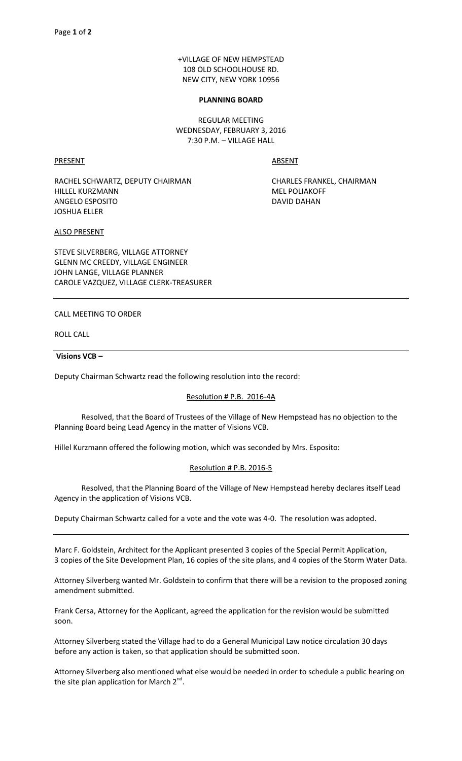+VILLAGE OF NEW HEMPSTEAD 108 OLD SCHOOLHOUSE RD. NEW CITY, NEW YORK 10956

#### **PLANNING BOARD**

REGULAR MEETING WEDNESDAY, FEBRUARY 3, 2016 7:30 P.M. – VILLAGE HALL

PRESENT ABSENT

RACHEL SCHWARTZ, DEPUTY CHAIRMAN CHARLES FRANKEL, CHAIRMAN HILLEL KURZMANN MEL POLIAKOFF ANGELO ESPOSITO DAVID DAHAN JOSHUA ELLER

ALSO PRESENT

STEVE SILVERBERG, VILLAGE ATTORNEY GLENN MC CREEDY, VILLAGE ENGINEER JOHN LANGE, VILLAGE PLANNER CAROLE VAZQUEZ, VILLAGE CLERK-TREASURER

CALL MEETING TO ORDER

ROLL CALL

#### **Visions VCB –**

Deputy Chairman Schwartz read the following resolution into the record:

# Resolution # P.B. 2016-4A

 Resolved, that the Board of Trustees of the Village of New Hempstead has no objection to the Planning Board being Lead Agency in the matter of Visions VCB.

Hillel Kurzmann offered the following motion, which was seconded by Mrs. Esposito:

# Resolution # P.B. 2016-5

 Resolved, that the Planning Board of the Village of New Hempstead hereby declares itself Lead Agency in the application of Visions VCB.

Deputy Chairman Schwartz called for a vote and the vote was 4-0. The resolution was adopted.

Marc F. Goldstein, Architect for the Applicant presented 3 copies of the Special Permit Application, 3 copies of the Site Development Plan, 16 copies of the site plans, and 4 copies of the Storm Water Data.

Attorney Silverberg wanted Mr. Goldstein to confirm that there will be a revision to the proposed zoning amendment submitted.

Frank Cersa, Attorney for the Applicant, agreed the application for the revision would be submitted soon.

Attorney Silverberg stated the Village had to do a General Municipal Law notice circulation 30 days before any action is taken, so that application should be submitted soon.

Attorney Silverberg also mentioned what else would be needed in order to schedule a public hearing on the site plan application for March 2<sup>nd</sup>.